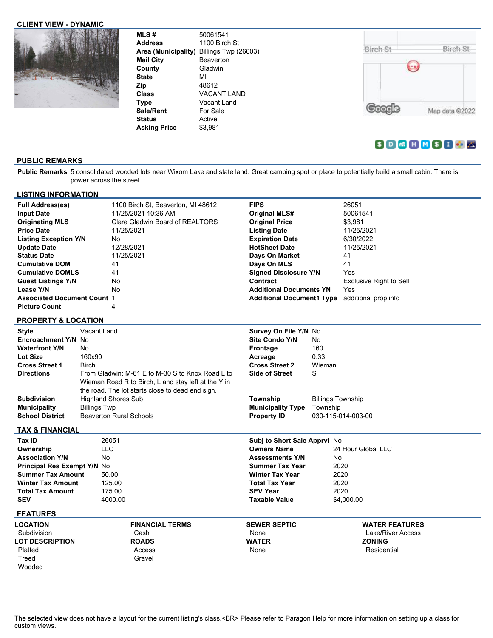#### **CLIENT VIEW - DYNAMIC**



| <b>MLS#</b><br><b>Address</b> | 50061541<br>1100 Birch St<br>Area (Municipality) Billings Twp (26003) | Birch St | Birch St       |
|-------------------------------|-----------------------------------------------------------------------|----------|----------------|
| <b>Mail City</b>              | <b>Beaverton</b>                                                      |          |                |
| County                        | Gladwin                                                               |          |                |
| <b>State</b>                  | MI                                                                    |          |                |
| Zip                           | 48612                                                                 |          |                |
| <b>Class</b>                  | VACANT LAND                                                           |          |                |
| Type                          | Vacant Land                                                           |          |                |
| Sale/Rent                     | For Sale                                                              |          | Map data @2022 |
| <b>Status</b>                 | Active                                                                |          |                |
| <b>Asking Price</b>           | \$3,981                                                               |          |                |

# $S D G H M S I S K$

# **PUBLIC REMARKS**

**Public Remarks** 5 consolidated wooded lots near Wixom Lake and state land. Great camping spot or place to potentially build a small cabin. There is power across the street.

| <b>LISTING INFORMATION</b>                                                                                                                                                                                                                                                                                                          |                                                                                     |                                                                           |                                                                                                         |                                                                                                                                                                                                                                                                                          |                                      |                                                                                                                                                    |
|-------------------------------------------------------------------------------------------------------------------------------------------------------------------------------------------------------------------------------------------------------------------------------------------------------------------------------------|-------------------------------------------------------------------------------------|---------------------------------------------------------------------------|---------------------------------------------------------------------------------------------------------|------------------------------------------------------------------------------------------------------------------------------------------------------------------------------------------------------------------------------------------------------------------------------------------|--------------------------------------|----------------------------------------------------------------------------------------------------------------------------------------------------|
| <b>Full Address(es)</b><br><b>Input Date</b><br><b>Originating MLS</b><br><b>Price Date</b><br><b>Listing Exception Y/N</b><br><b>Update Date</b><br><b>Status Date</b><br><b>Cumulative DOM</b><br><b>Cumulative DOMLS</b><br><b>Guest Listings Y/N</b><br>Lease Y/N<br><b>Associated Document Count 1</b><br><b>Picture Count</b> |                                                                                     | 11/25/2021<br>No<br>12/28/2021<br>11/25/2021<br>41<br>41<br>No<br>No<br>4 | 1100 Birch St, Beaverton, MI 48612<br>11/25/2021 10:36 AM<br>Clare Gladwin Board of REALTORS            | <b>FIPS</b><br><b>Original MLS#</b><br><b>Original Price</b><br><b>Listing Date</b><br><b>Expiration Date</b><br><b>HotSheet Date</b><br>Days On Market<br>Days On MLS<br><b>Signed Disclosure Y/N</b><br>Contract<br><b>Additional Documents YN</b><br><b>Additional Document1 Type</b> |                                      | 26051<br>50061541<br>\$3,981<br>11/25/2021<br>6/30/2022<br>11/25/2021<br>41<br>41<br>Yes<br>Exclusive Right to Sell<br>Yes<br>additional prop info |
| <b>PROPERTY &amp; LOCATION</b>                                                                                                                                                                                                                                                                                                      |                                                                                     |                                                                           |                                                                                                         |                                                                                                                                                                                                                                                                                          |                                      |                                                                                                                                                    |
| <b>Style</b><br>Encroachment Y/N No<br><b>Waterfront Y/N</b><br>Lot Size<br><b>Cross Street 1</b><br><b>Directions</b>                                                                                                                                                                                                              | Vacant Land<br>No<br>160x90<br><b>Birch</b>                                         |                                                                           | From Gladwin: M-61 E to M-30 S to Knox Road L to<br>Wieman Road R to Birch, L and stay left at the Y in | Survey On File Y/N No<br><b>Site Condo Y/N</b><br><b>Frontage</b><br>Acreage<br><b>Cross Street 2</b><br><b>Side of Street</b>                                                                                                                                                           | No.<br>160<br>0.33<br>Wieman<br>S    |                                                                                                                                                    |
| <b>Subdivision</b><br><b>Municipality</b><br><b>School District</b>                                                                                                                                                                                                                                                                 | <b>Highland Shores Sub</b><br><b>Billings Twp</b><br><b>Beaverton Rural Schools</b> |                                                                           | the road. The lot starts close to dead end sign.                                                        | Township<br><b>Municipality Type</b><br><b>Property ID</b>                                                                                                                                                                                                                               | <b>Billings Township</b><br>Township | 030-115-014-003-00                                                                                                                                 |
| <b>TAX &amp; FINANCIAL</b>                                                                                                                                                                                                                                                                                                          |                                                                                     |                                                                           |                                                                                                         |                                                                                                                                                                                                                                                                                          |                                      |                                                                                                                                                    |
| Tax ID<br>Ownership<br><b>Association Y/N</b><br>Principal Res Exempt Y/N No<br><b>Summer Tax Amount</b><br><b>Winter Tax Amount</b><br><b>Total Tax Amount</b><br><b>SEV</b><br><b>FEATURES</b>                                                                                                                                    | 26051<br><b>LLC</b><br>No<br>50.00<br>125.00<br>175.00                              | 4000.00                                                                   |                                                                                                         | Subj to Short Sale Apprvl No<br><b>Owners Name</b><br><b>Assessments Y/N</b><br><b>Summer Tax Year</b><br><b>Winter Tax Year</b><br><b>Total Tax Year</b><br><b>SEV Year</b><br><b>Taxable Value</b>                                                                                     | No                                   | 24 Hour Global LLC<br>2020<br>2020<br>2020<br>2020<br>\$4,000.00                                                                                   |
| LOCATION                                                                                                                                                                                                                                                                                                                            |                                                                                     |                                                                           | <b>FINANCIAL TERMS</b>                                                                                  | <b>SEWER SEPTIC</b>                                                                                                                                                                                                                                                                      |                                      | <b>WATER FEATURES</b>                                                                                                                              |
| Subdivision<br><b>LOT DESCRIPTION</b><br>Platted<br>Treed<br>Wooded                                                                                                                                                                                                                                                                 |                                                                                     | Cash                                                                      | <b>ROADS</b><br>Access<br>Gravel                                                                        | None<br><b>WATER</b><br>None                                                                                                                                                                                                                                                             |                                      | Lake/River Access<br><b>ZONING</b><br>Residential                                                                                                  |

The selected view does not have a layout for the current listing's class.<BR> Please refer to Paragon Help for more information on setting up a class for custom views.